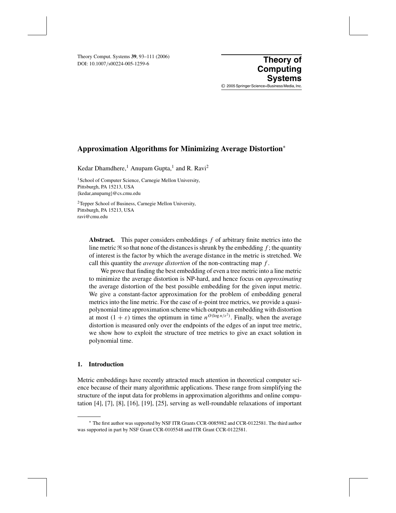DOI: 10.1007/s00224-005-1259-6 Theory Comput. Systems **39**, 93–111 (2006) **Theory of**<br>
DOL: 10, 1007 (2002) 4, 005, 1350 6

**Computing Systems** © 2005 Springer Science+Business Media, Inc.

# **Approximation Algorithms for Minimizing Average Distortion**<sup>∗</sup>

Kedar Dhamdhere,<sup>1</sup> Anupam Gupta,<sup>1</sup> and R. Ravi<sup>2</sup>

<sup>1</sup> School of Computer Science, Carnegie Mellon University, Pittsburgh, PA 15213, USA {kedar,anupamg}@cs.cmu.edu

2Tepper School of Business, Carnegie Mellon University, Pittsburgh, PA 15213, USA ravi@cmu.edu

**Abstract.** This paper considers embeddings *f* of arbitrary finite metrics into the line metric  $\Re$  so that none of the distances is shrunk by the embedding  $f$ ; the quantity of interest is the factor by which the average distance in the metric is stretched. We call this quantity the *average distortion* of the non-contracting map *f* .

We prove that finding the best embedding of even a tree metric into a line metric to minimize the average distortion is NP-hard, and hence focus on *approximating* the average distortion of the best possible embedding for the given input metric. We give a constant-factor approximation for the problem of embedding general metrics into the line metric. For the case of *n*-point tree metrics, we provide a quasipolynomial time approximation scheme which outputs an embedding with distortion at most  $(1 + \varepsilon)$  times the optimum in time  $n^{O(\log n/\varepsilon^2)}$ . Finally, when the average distortion is measured only over the endpoints of the edges of an input tree metric, we show how to exploit the structure of tree metrics to give an exact solution in polynomial time.

# **1. Introduction**

Metric embeddings have recently attracted much attention in theoretical computer science because of their many algorithmic applications. These range from simplifying the structure of the input data for problems in approximation algorithms and online computation [4], [7], [8], [16], [19], [25], serving as well-roundable relaxations of important

<sup>∗</sup> The first author was supported by NSF ITR Grants CCR-0085982 and CCR-0122581. The third author was supported in part by NSF Grant CCR-0105548 and ITR Grant CCR-0122581.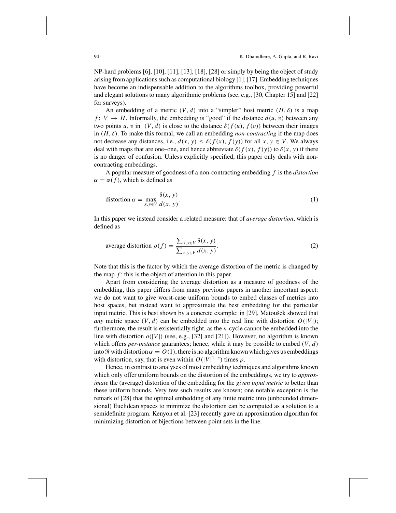NP-hard problems [6], [10], [11], [13], [18], [28] or simply by being the object of study arising from applications such as computational biology [1], [17]. Embedding techniques have become an indispensable addition to the algorithms toolbox, providing powerful and elegant solutions to many algorithmic problems (see, e.g., [30, Chapter 15] and [22] for surveys).

An embedding of a metric  $(V, d)$  into a "simpler" host metric  $(H, \delta)$  is a map *f* :  $V \rightarrow H$ . Informally, the embedding is "good" if the distance  $d(u, v)$  between any two points *u*, *v* in  $(V, d)$  is close to the distance  $\delta(f(u), f(v))$  between their images in  $(H, \delta)$ . To make this formal, we call an embedding *non-contracting* if the map does not decrease any distances, i.e.,  $d(x, y) \leq \delta(f(x), f(y))$  for all  $x, y \in V$ . We always deal with maps that are one–one, and hence abbreviate  $\delta(f(x), f(y))$  to  $\delta(x, y)$  if there is no danger of confusion. Unless explicitly specified, this paper only deals with noncontracting embeddings.

A popular measure of goodness of a non-contracting embedding *f* is the *distortion*  $\alpha = \alpha(f)$ , which is defined as

$$
\text{distortion } \alpha = \max_{x, y \in V} \frac{\delta(x, y)}{d(x, y)}.\tag{1}
$$

In this paper we instead consider a related measure: that of *average distortion*, which is defined as

average distortion 
$$
\rho(f) = \frac{\sum_{x,y \in V} \delta(x, y)}{\sum_{x,y \in V} d(x, y)}
$$
. (2)

Note that this is the factor by which the average distortion of the metric is changed by the map  $f$ ; this is the object of attention in this paper.

Apart from considering the average distortion as a measure of goodness of the embedding, this paper differs from many previous papers in another important aspect: we do not want to give worst-case uniform bounds to embed classes of metrics into host spaces, but instead want to approximate the best embedding for the particular input metric. This is best shown by a concrete example: in [29], Matoušek showed that *any* metric space  $(V, d)$  can be embedded into the real line with distortion  $O(|V|)$ ; furthermore, the result is existentially tight, as the *n*-cycle cannot be embedded into the line with distortion  $o(|V|)$  (see, e.g., [32] and [21]). However, no algorithm is known which offers *per-instance* guarantees; hence, while it may be possible to embed  $(V, d)$ into  $\Re$  with distortion  $\alpha = O(1)$ , there is no algorithm known which gives us embeddings with distortion, say, that is even within  $O(|V|^{1-\epsilon})$  times  $\rho$ .

Hence, in contrast to analyses of most embedding techniques and algorithms known which only offer uniform bounds on the distortion of the embeddings, we try to *approximate* the (average) distortion of the embedding for the *given input metric* to better than these uniform bounds. Very few such results are known; one notable exception is the remark of [28] that the optimal embedding of any finite metric into (unbounded dimensional) Euclidean spaces to minimize the distortion can be computed as a solution to a semidefinite program. Kenyon et al. [23] recently gave an approximation algorithm for minimizing distortion of bijections between point sets in the line.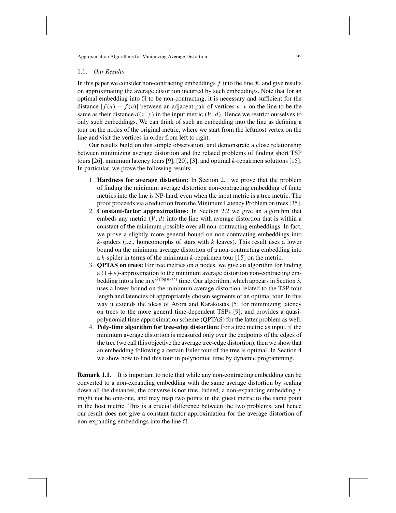#### 1.1. *Our Results*

In this paper we consider non-contracting embeddings  $f$  into the line  $\Re$ , and give results on approximating the average distortion incurred by such embeddings. Note that for an optimal embedding into  $\Re$  to be non-contracting, it is necessary and sufficient for the distance  $|f(u) - f(v)|$  between an adjacent pair of vertices *u*, *v* on the line to be the same as their distance  $d(x, y)$  in the input metric  $(V, d)$ . Hence we restrict ourselves to only such embeddings. We can think of such an embedding into the line as defining a tour on the nodes of the original metric, where we start from the leftmost vertex on the line and visit the vertices in order from left to right.

Our results build on this simple observation, and demonstrate a close relationship between minimizing average distortion and the related problems of finding short TSP tours [26], minimum latency tours [9], [20], [3], and optimal *k*-repairmen solutions [15]. In particular, we prove the following results:

- 1. **Hardness for average distortion:** In Section 2.1 we prove that the problem of finding the minimum average distortion non-contracting embedding of finite metrics into the line is NP-hard, even when the input metric is a tree metric. The proof proceeds via a reduction from the Minimum Latency Problem on trees [35].
- 2. **Constant-factor approximations:** In Section 2.2 we give an algorithm that embeds any metric  $(V, d)$  into the line with average distortion that is within a constant of the minimum possible over all non-contracting embeddings. In fact, we prove a slightly more general bound on non-contracting embeddings into *k*-spiders (i.e., homeomorphs of stars with *k* leaves). This result uses a lower bound on the minimum average distortion of a non-contracting embedding into a *k*-spider in terms of the minimum *k*-repairmen tour [15] on the metric.
- 3. **QPTAS on trees:** For tree metrics on *n* nodes, we give an algorithm for finding a  $(1+\varepsilon)$ -approximation to the minimum average distortion non-contracting embedding into a line in  $n^{O(\log n/\varepsilon^2)}$  time. Our algorithm, which appears in Section 3, uses a lower bound on the minimum average distortion related to the TSP tour length and latencies of appropriately chosen segments of an optimal tour. In this way it extends the ideas of Arora and Karakostas [5] for minimizing latency on trees to the more general time-dependent TSPs [9], and provides a quasipolynomial time approximation scheme (QPTAS) for the latter problem as well.
- 4. **Poly-time algorithm for tree-edge distortion:** For a tree metric as input, if the minimum average distortion is measured only over the endpoints of the edges of the tree (we call this objective the average tree-edge distortion), then we show that an embedding following a certain Euler tour of the tree is optimal. In Section 4 we show how to find this tour in polynomial time by dynamic programming.

**Remark 1.1.** It is important to note that while any non-contracting embedding can be converted to a non-expanding embedding with the same average distortion by scaling down all the distances, the converse is not true. Indeed, a non-expanding embedding *f* might not be one-one, and may map two points in the guest metric to the same point in the host metric. This is a crucial difference between the two problems, and hence our result does not give a constant-factor approximation for the average distortion of non-expanding embeddings into the line  $\Re$ .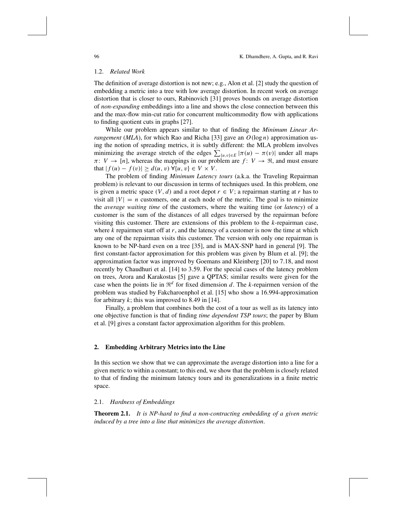# 1.2. *Related Work*

The definition of average distortion is not new; e.g., Alon et al. [2] study the question of embedding a metric into a tree with low average distortion. In recent work on average distortion that is closer to ours, Rabinovich [31] proves bounds on average distortion of *non-expanding* embeddings into a line and shows the close connection between this and the max-flow min-cut ratio for concurrent multicommodity flow with applications to finding quotient cuts in graphs [27].

While our problem appears similar to that of finding the *Minimum Linear Arrangement* (*MLA*), for which Rao and Richa [33] gave an  $O(\log n)$  approximation using the notion of spreading metrics, it is subtly different: the MLA problem involves minimizing the average stretch of the edges  $\sum_{\{u,v\}\in E} |\pi(u) - \pi(v)|$  under all maps  $\pi: V \to [n]$ , whereas the mappings in our problem are  $f: V \to \mathbb{R}$ , and must ensure that  $|f(u) - f(v)| \ge d(u, v) \; \forall \{u, v\} \in V \times V$ .

The problem of finding *Minimum Latency tours* (a.k.a. the Traveling Repairman problem) is relevant to our discussion in terms of techniques used. In this problem, one is given a metric space  $(V, d)$  and a root depot  $r \in V$ ; a repairman starting at *r* has to visit all  $|V| = n$  customers, one at each node of the metric. The goal is to minimize the *average waiting time* of the customers, where the waiting time (or *latency*) of a customer is the sum of the distances of all edges traversed by the repairman before visiting this customer. There are extensions of this problem to the *k*-repairman case, where  $k$  repairmen start off at  $r$ , and the latency of a customer is now the time at which any one of the repairman visits this customer. The version with only one repairman is known to be NP-hard even on a tree [35], and is MAX-SNP hard in general [9]. The first constant-factor approximation for this problem was given by Blum et al. [9]; the approximation factor was improved by Goemans and Kleinberg [20] to 7.18, and most recently by Chaudhuri et al. [14] to 3.59. For the special cases of the latency problem on trees, Arora and Karakostas [5] gave a QPTAS; similar results were given for the case when the points lie in  $\mathbb{R}^d$  for fixed dimension *d*. The *k*-repairmen version of the problem was studied by Fakcharoenphol et al. [15] who show a 16.994-approximation for arbitrary  $k$ ; this was improved to 8.49 in [14].

Finally, a problem that combines both the cost of a tour as well as its latency into one objective function is that of finding *time dependent TSP tours*; the paper by Blum et al. [9] gives a constant factor approximation algorithm for this problem.

#### **2. Embedding Arbitrary Metrics into the Line**

In this section we show that we can approximate the average distortion into a line for a given metric to within a constant; to this end, we show that the problem is closely related to that of finding the minimum latency tours and its generalizations in a finite metric space.

# 2.1. *Hardness of Embeddings*

**Theorem 2.1.** *It is NP-hard to find a non-contracting embedding of a given metric induced by a tree into a line that minimizes the average distortion*.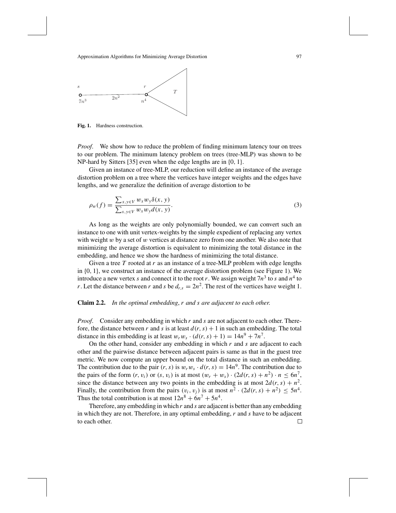

**Fig. 1.** Hardness construction.

*Proof.* We show how to reduce the problem of finding minimum latency tour on trees to our problem. The minimum latency problem on trees (tree-MLP) was shown to be NP-hard by Sitters [35] even when the edge lengths are in {0, 1}.

Given an instance of tree-MLP, our reduction will define an instance of the average distortion problem on a tree where the vertices have integer weights and the edges have lengths, and we generalize the definition of average distortion to be

$$
\rho_w(f) = \frac{\sum_{x,y \in V} w_x w_y \delta(x,y)}{\sum_{x,y \in V} w_x w_y d(x,y)}.
$$
\n(3)

As long as the weights are only polynomially bounded, we can convert such an instance to one with unit vertex-weights by the simple expedient of replacing any vertex with weight  $w$  by a set of  $w$  vertices at distance zero from one another. We also note that minimizing the average distortion is equivalent to minimizing the total distance in the embedding, and hence we show the hardness of minimizing the total distance.

Given a tree *T* rooted at *r* as an instance of a tree-MLP problem with edge lengths in {0, 1}, we construct an instance of the average distortion problem (see Figure 1). We introduce a new vertex *s* and connect it to the root *r*. We assign weight  $7n<sup>3</sup>$  to *s* and  $n<sup>4</sup>$  to *r*. Let the distance between *r* and *s* be  $d_{r,s} = 2n^2$ . The rest of the vertices have weight 1.

# **Claim 2.2.** *In the optimal embedding*, *r and s are adjacent to each other*.

*Proof*. Consider any embedding in which *r* and *s* are not adjacent to each other. Therefore, the distance between *r* and *s* is at least  $d(r, s) + 1$  in such an embedding. The total distance in this embedding is at least  $w_r w_s \cdot (d(r, s) + 1) = 14n^9 + 7n^7$ .

On the other hand, consider any embedding in which *r* and *s* are adjacent to each other and the pairwise distance between adjacent pairs is same as that in the guest tree metric. We now compute an upper bound on the total distance in such an embedding. The contribution due to the pair  $(r, s)$  is  $w_r w_s \cdot d(r, s) = 14n^9$ . The contribution due to the pairs of the form  $(r, v_i)$  or  $(s, v_i)$  is at most  $(w_r + w_s) \cdot (2d(r, s) + n^2) \cdot n \leq 6n^7$ , since the distance between any two points in the embedding is at most  $2d(r, s) + n^2$ . Finally, the contribution from the pairs  $(v_i, v_j)$  is at most  $n^2 \cdot (2d(r, s) + n^2) \leq 5n^4$ . Thus the total contribution is at most  $12n^8 + 6n^7 + 5n^4$ .

Therefore, any embedding in which *r* and *s* are adjacent is better than any embedding in which they are not. Therefore, in any optimal embedding, *r* and *s* have to be adjacent to each other. $\Box$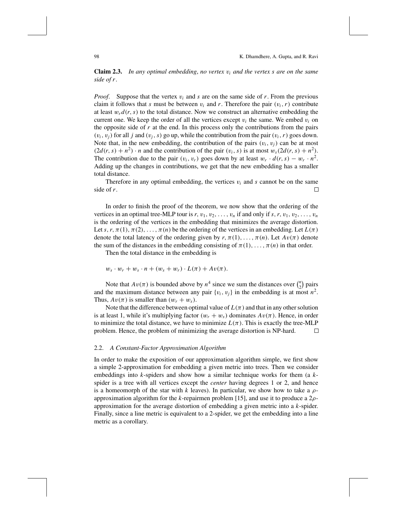**Claim 2.3.** *In any optimal embedding*, *no vertex* v*<sup>i</sup> and the vertex s are on the same side of r*.

*Proof.* Suppose that the vertex  $v_i$  and *s* are on the same side of *r*. From the previous claim it follows that *s* must be between  $v_i$  and *r*. Therefore the pair  $(v_i, r)$  contribute at least  $w_r d(r, s)$  to the total distance. Now we construct an alternative embedding the current one. We keep the order of all the vertices except  $v_i$  the same. We embed  $v_i$  on the opposite side of *r* at the end. In this process only the contributions from the pairs  $(v_i, v_j)$  for all *j* and  $(v_j, s)$  go up, while the contribution from the pair  $(v_i, r)$  goes down. Note that, in the new embedding, the contribution of the pairs  $(v_i, v_j)$  can be at most  $(2d(r, s) + n^2) \cdot n$  and the contribution of the pair  $(v_i, s)$  is at most  $w_s(2d(r, s) + n^2)$ . The contribution due to the pair  $(v_i, v_r)$  goes down by at least  $w_r \cdot d(r, s) - w_r \cdot n^2$ . Adding up the changes in contributions, we get that the new embedding has a smaller total distance.

Therefore in any optimal embedding, the vertices  $v_i$  and  $s$  cannot be on the same side of *r*.  $\Box$ 

In order to finish the proof of the theorem, we now show that the ordering of the vertices in an optimal tree-MLP tour is  $r$ ,  $v_1$ ,  $v_2$ , ...,  $v_n$  if and only if  $s$ ,  $r$ ,  $v_1$ ,  $v_2$ , ...,  $v_n$ is the ordering of the vertices in the embedding that minimizes the average distortion. Let *s*,  $r, \pi(1), \pi(2), \ldots, \pi(n)$  be the ordering of the vertices in an embedding. Let  $L(\pi)$ denote the total latency of the ordering given by  $r, \pi(1), \ldots, \pi(n)$ . Let  $Av(\pi)$  denote the sum of the distances in the embedding consisting of  $\pi(1), \ldots, \pi(n)$  in that order.

Then the total distance in the embedding is

$$
w_s \cdot w_r + w_s \cdot n + (w_s + w_r) \cdot L(\pi) + Av(\pi).
$$

Note that  $Av(\pi)$  is bounded above by  $n^4$  since we sum the distances over  $\binom{n}{2}$  $\binom{n}{2}$  pairs and the maximum distance between any pair  $\{v_i, v_j\}$  in the embedding is at most  $n^2$ . Thus,  $Av(\pi)$  is smaller than  $(w_r + w_s)$ .

Note that the difference between optimal value of  $L(\pi)$  and that in any other solution is at least 1, while it's multiplying factor  $(w_r + w_s)$  dominates  $Av(\pi)$ . Hence, in order to minimize the total distance, we have to minimize  $L(\pi)$ . This is exactly the tree-MLP problem. Hence, the problem of minimizing the average distortion is NP-hard.  $\Box$ 

#### 2.2. *A Constant-Factor Approximation Algorithm*

In order to make the exposition of our approximation algorithm simple, we first show a simple 2-approximation for embedding a given metric into trees. Then we consider embeddings into *k*-spiders and show how a similar technique works for them (a *k*spider is a tree with all vertices except the *center* having degrees 1 or 2, and hence is a homeomorph of the star with *k* leaves). In particular, we show how to take a  $\rho$ approximation algorithm for the *k*-repairmen problem [15], and use it to produce a 2ρapproximation for the average distortion of embedding a given metric into a *k*-spider. Finally, since a line metric is equivalent to a 2-spider, we get the embedding into a line metric as a corollary.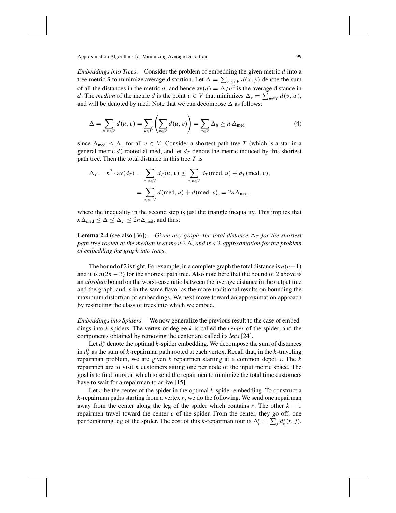*Embeddings into Trees*. Consider the problem of embedding the given metric *d* into a tree metric  $\delta$  to minimize average distortion. Let  $\Delta = \sum_{x,y \in V} d(x, y)$  denote the sum of all the distances in the metric *d*, and hence  $\text{av}(d) = \Delta/n^2$  is the average distance in *d*. The *median* of the metric *d* is the point  $v \in V$  that minimizes  $\Delta_v = \sum_{w \in V} d(v, w)$ , and will be denoted by med. Note that we can decompose  $\Delta$  as follows:

$$
\Delta = \sum_{u,v \in V} d(u,v) = \sum_{u \in V} \left( \sum_{v \in V} d(u,v) \right) = \sum_{u \in V} \Delta_u \ge n \Delta_{\text{med}}
$$
(4)

since  $\Delta_{\text{med}} \leq \Delta_v$  for all  $v \in V$ . Consider a shortest-path tree T (which is a star in a general metric  $d$ ) rooted at med, and let  $d<sub>T</sub>$  denote the metric induced by this shortest path tree. Then the total distance in this tree *T* is

$$
\Delta_T = n^2 \cdot \text{av}(d_T) = \sum_{u,v \in V} d_T(u,v) \le \sum_{u,v \in V} d_T(\text{med}, u) + d_T(\text{med}, v),
$$

$$
= \sum_{u,v \in V} d(\text{med}, u) + d(\text{med}, v), = 2n \Delta_{\text{med}},
$$

where the inequality in the second step is just the triangle inequality. This implies that  $n\Delta_{\text{med}} \leq \Delta \leq \Delta_T \leq 2n\Delta_{\text{med}}$ , and thus:

**Lemma 2.4** (see also [36]). *Given any graph, the total distance*  $\Delta_T$  *for the shortest path tree rooted at the median is at most* 2 , *and is a* 2*-approximation for the problem of embedding the graph into trees*.

The bound of 2 is tight. For example, in a complete graph the total distance is  $n(n-1)$ and it is  $n(2n - 3)$  for the shortest path tree. Also note here that the bound of 2 above is an *absolute* bound on the worst-case ratio between the average distance in the output tree and the graph, and is in the same flavor as the more traditional results on bounding the maximum distortion of embeddings. We next move toward an approximation approach by restricting the class of trees into which we embed.

*Embeddings into Spiders*. We now generalize the previous result to the case of embeddings into *k*-spiders. The vertex of degree *k* is called the *center* of the spider, and the components obtained by removing the center are called its *legs* [24].

Let  $d_k^*$  denote the optimal  $k$ -spider embedding. We decompose the sum of distances in *d*<sup>∗</sup> *<sup>k</sup>* as the sum of *k*-repairman path rooted at each vertex. Recall that, in the *k*-traveling repairman problem, we are given *k* repairmen starting at a common depot *s*. The *k* repairmen are to visit *n* customers sitting one per node of the input metric space. The goal is to find tours on which to send the repairmen to minimize the total time customers have to wait for a repairman to arrive [15].

Let *c* be the center of the spider in the optimal *k*-spider embedding. To construct a *k*-repairman paths starting from a vertex *r*, we do the following. We send one repairman away from the center along the leg of the spider which contains  $r$ . The other  $k - 1$ repairmen travel toward the center  $c$  of the spider. From the center, they go off, one per remaining leg of the spider. The cost of this *k*-repairman tour is  $\Delta_r^* = \sum_j d_k^*(r, j)$ .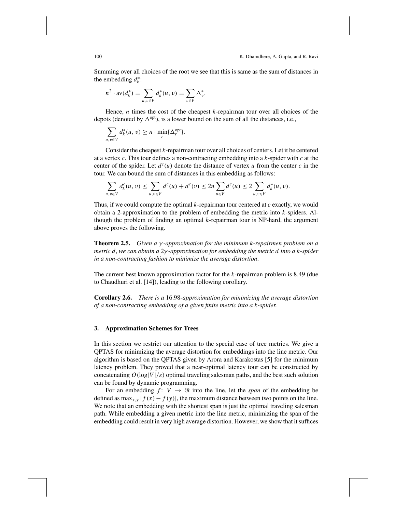Summing over all choices of the root we see that this is same as the sum of distances in the embedding  $d_k^*$ :

$$
n^{2} \cdot \text{av}(d_{k}^{*}) = \sum_{u,v \in V} d_{k}^{*}(u,v) = \sum_{v \in V} \Delta_{v}^{*}.
$$

Hence, *n* times the cost of the cheapest *k*-repairman tour over all choices of the depots (denoted by  $\Delta^{opt}$ ), is a lower bound on the sum of all the distances, i.e.,

$$
\sum_{u,v\in V} d_k^*(u,v) \ge n \cdot \min_r {\{\Delta_r^{\text{opt}}\}}.
$$

Consider the cheapest *k*-repairman tour over all choices of centers. Let it be centered at a vertex *c*. This tour defines a non-contracting embedding into a *k*-spider with *c* at the center of the spider. Let  $d^c(u)$  denote the distance of vertex *u* from the center *c* in the tour. We can bound the sum of distances in this embedding as follows:

$$
\sum_{u,v \in V} d_k^c(u,v) \le \sum_{u,v \in V} d^c(u) + d^c(v) \le 2n \sum_{u \in V} d^c(u) \le 2 \sum_{u,v \in V} d_k^*(u,v).
$$

Thus, if we could compute the optimal *k*-repairman tour centered at *c* exactly, we would obtain a 2-approximation to the problem of embedding the metric into *k*-spiders. Although the problem of finding an optimal *k*-repairman tour is NP-hard, the argument above proves the following.

**Theorem 2.5.** *Given a* γ *-approximation for the minimum k-repairmen problem on a metric d*, *we can obtain a* 2γ *-approximation for embedding the metric d into a k-spider in a non-contracting fashion to minimize the average distortion*.

The current best known approximation factor for the *k*-repairman problem is 8.49 (due to Chaudhuri et al. [14]), leading to the following corollary.

**Corollary 2.6.** *There is a* 16.98*-approximation for minimizing the average distortion of a non-contracting embedding of a given finite metric into a k-spider*.

#### **3. Approximation Schemes for Trees**

In this section we restrict our attention to the special case of tree metrics. We give a QPTAS for minimizing the average distortion for embeddings into the line metric. Our algorithm is based on the QPTAS given by Arora and Karakostas [5] for the minimum latency problem. They proved that a near-optimal latency tour can be constructed by concatenating  $O(\log|V|/\varepsilon)$  optimal traveling salesman paths, and the best such solution can be found by dynamic programming.

For an embedding  $f: V \to \Re$  into the line, let the *span* of the embedding be defined as max<sub>*x*,*y*</sub>  $|f(x) - f(y)|$ , the maximum distance between two points on the line. We note that an embedding with the shortest span is just the optimal traveling salesman path. While embedding a given metric into the line metric, minimizing the span of the embedding could result in very high average distortion. However, we show that it suffices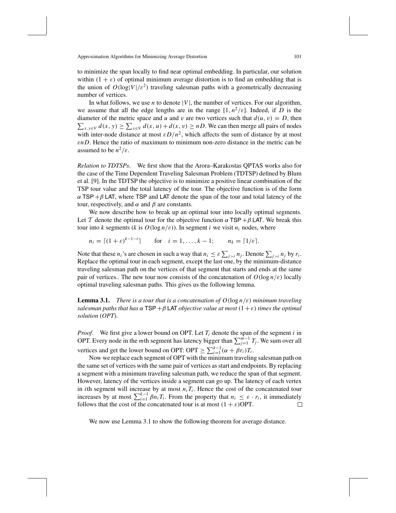to minimize the span locally to find near optimal embedding. In particular, our solution within  $(1 + \varepsilon)$  of optimal minimum average distortion is to find an embedding that is the union of  $O(\log|V|/\varepsilon^2)$  traveling salesman paths with a geometrically decreasing number of vertices.

In what follows, we use *n* to denote  $|V|$ , the number of vertices. For our algorithm, we assume that all the edge lengths are in the range  $[1, n^2/\varepsilon]$ . Indeed, if *D* is the diameter of the metric space and u and v are two vertices such that  $d(u, v) = D$ , then diameter of the metric space and u and v are two vertices such that  $d(u, v) = D$ , then  $\sum_{x,y \in V} d(x, y) \ge \sum_{x \in V} d(x, u) + d(x, v) \ge nD$ . We can then merge all pairs of nodes with inter-node distance at most  $\varepsilon D/n^2$ , which affects the sum of distance by at most ε*nD*. Hence the ratio of maximum to minimum non-zero distance in the metric can be assumed to be  $n^2/\varepsilon$ .

*Relation to TDTSPs*. We first show that the Arora–Karakostas QPTAS works also for the case of the Time Dependent Traveling Salesman Problem (TDTSP) defined by Blum et al. [9]. In the TDTSP the objective is to minimize a positive linear combination of the TSP tour value and the total latency of the tour. The objective function is of the form  $\alpha$  TSP + $\beta$  LAT, where TSP and LAT denote the span of the tour and total latency of the tour, respectively, and  $\alpha$  and  $\beta$  are constants.

We now describe how to break up an optimal tour into locally optimal segments. Let T denote the optimal tour for the objective function  $\alpha$  TSP + $\beta$  LAT. We break this tour into *k* segments (*k* is  $O(\log n/\varepsilon)$ ). In segment *i* we visit  $n_i$  nodes, where

$$
n_i = \lceil (1 + \varepsilon)^{k-1-i} \rceil
$$
 for  $i = 1, ..., k-1$ ;  $n_k = \lceil 1/\varepsilon \rceil$ .

Note that these  $n_i$ 's are chosen in such a way that  $n_i \leq \varepsilon \sum_{j>i} n_j$ . Denote  $\sum_{j>i} n_j$  by  $r_i$ . Replace the optimal tour in each segment, except the last one, by the minimum-distance traveling salesman path on the vertices of that segment that starts and ends at the same pair of vertices.. The new tour now consists of the concatenation of  $O(\log n/\varepsilon)$  locally optimal traveling salesman paths. This gives us the following lemma.

**Lemma 3.1.** *There is a tour that is a concatenation of*  $O(\log n/\varepsilon)$  *minimum traveling salesman paths that has*  $\alpha$  TSP +  $\beta$  LAT *objective value at most*  $(1+\varepsilon)$  *times the optimal solution* (*OPT*).

*Proof.* We first give a lower bound on OPT. Let  $T_i$  denote the span of the segment *i* in OPT. Every node in the *m*th segment has latency bigger than  $\sum_{j=1}^{m-1} T_j$ . We sum over all vertices and get the lower bound on OPT: OPT  $\geq \sum_{i=1}^{k-1} (\alpha + \beta r_i) T_i$ .

Now we replace each segment of OPT with the minimum traveling salesman path on the same set of vertices with the same pair of vertices as start and endpoints. By replacing a segment with a minimum traveling salesman path, we reduce the span of that segment. However, latency of the vertices inside a segment can go up. The latency of each vertex in *i*th segment will increase by at most  $n_i T_i$ . Hence the cost of the concatenated tour increases by at most  $\sum_{i=1}^{k-1} \beta n_i T_i$ . From the property that  $n_i \leq \varepsilon \cdot r_i$ , it immediately follows that the cost of the concatenated tour is at most  $(1 + \varepsilon)$ OPT. П

We now use Lemma 3.1 to show the following theorem for average distance.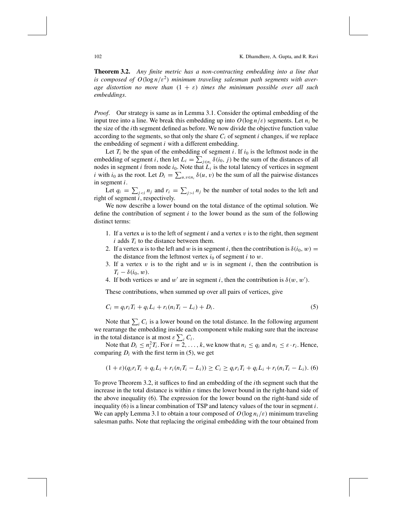**Theorem 3.2.** *Any finite metric has a non-contracting embedding into a line that is composed of*  $O(\log n/\varepsilon^2)$  *minimum traveling salesman path segments with average distortion no more than* (1 + ε) *times the minimum possible over all such embeddings*.

*Proof*. Our strategy is same as in Lemma 3.1. Consider the optimal embedding of the input tree into a line. We break this embedding up into  $O(\log n/\varepsilon)$  segments. Let  $n_i$  be the size of the *i*th segment defined as before. We now divide the objective function value according to the segments, so that only the share  $C_i$  of segment *i* changes, if we replace the embedding of segment *i* with a different embedding.

Let  $T_i$  be the span of the embedding of segment *i*. If  $i_0$  is the leftmost node in the embedding of segment *i*, then let  $L_i = \sum_{j \in n_i} \delta(i_0, j)$  be the sum of the distances of all nodes in segment  $i$  from node  $i_0$ . Note that  $L_i$  is the total latency of vertices in segment *i* with *i*<sub>0</sub> as the root. Let  $D_i = \sum_{u,v \in n_i} \delta(u,v)$  be the sum of all the pairwise distances in segment *i*.

Let  $q_i = \sum_{j \le i} n_j$  and  $r_i = \sum_{j \ge i} n_j$  be the number of total nodes to the left and right of segment *i*, respectively.

We now describe a lower bound on the total distance of the optimal solution. We define the contribution of segment *i* to the lower bound as the sum of the following distinct terms:

- 1. If a vertex  $u$  is to the left of segment  $i$  and a vertex  $v$  is to the right, then segment  $i$  adds  $T_i$  to the distance between them.
- 2. If a vertex *u* is to the left and *w* is in segment *i*, then the contribution is  $\delta(i_0, w)$  = the distance from the leftmost vertex  $i_0$  of segment  $i$  to  $w$ .
- 3. If a vertex  $v$  is to the right and  $w$  is in segment  $i$ , then the contribution is  $T_i - \delta(i_0, w)$ .
- 4. If both vertices w and w' are in segment *i*, then the contribution is  $\delta(w, w')$ .

These contributions, when summed up over all pairs of vertices, give

$$
C_i = q_i r_i T_i + q_i L_i + r_i (n_i T_i - L_i) + D_i.
$$
\n(5)

Note that  $\sum_i C_i$  is a lower bound on the total distance. In the following argument we rearrange the embedding inside each component while making sure that the increase in the total distance is at most  $\varepsilon \sum_i C_i$ .

Note that  $D_i \leq n_i^2 T_i$ . For  $i = 2, ..., k$ , we know that  $n_i \leq q_i$  and  $n_i \leq \varepsilon \cdot r_i$ . Hence, comparing  $D_i$  with the first term in (5), we get

$$
(1+\varepsilon)(q_i r_i T_i + q_i L_i + r_i (n_i T_i - L_i)) \ge C_i \ge q_i r_i T_i + q_i L_i + r_i (n_i T_i - L_i).
$$
 (6)

To prove Theorem 3.2, it suffices to find an embedding of the *i*th segment such that the increase in the total distance is within  $\varepsilon$  times the lower bound in the right-hand side of the above inequality (6). The expression for the lower bound on the right-hand side of inequality (6) is a linear combination of TSP and latency values of the tour in segment *i*. We can apply Lemma 3.1 to obtain a tour composed of  $O(\log n_i/\varepsilon)$  minimum traveling salesman paths. Note that replacing the original embedding with the tour obtained from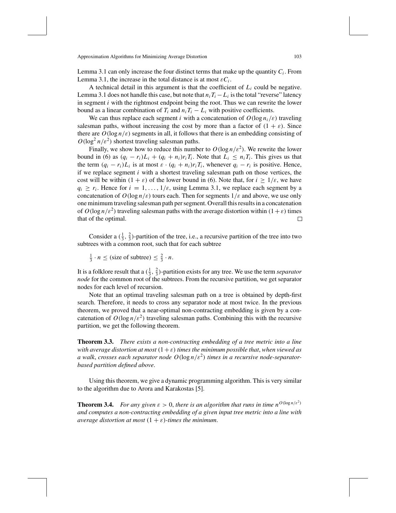Lemma 3.1 can only increase the four distinct terms that make up the quantity  $C_i$ . From Lemma 3.1, the increase in the total distance is at most  $\varepsilon C_i$ .

A technical detail in this argument is that the coefficient of *Li* could be negative. Lemma 3.1 does not handle this case, but note that  $n_i T_i - L_i$  is the total "reverse" latency in segment *i* with the rightmost endpoint being the root. Thus we can rewrite the lower bound as a linear combination of  $T_i$  and  $n_i T_i - L_i$  with positive coefficients.

We can thus replace each segment *i* with a concatenation of  $O(\log n_i/\varepsilon)$  traveling salesman paths, without increasing the cost by more than a factor of  $(1 + \varepsilon)$ . Since there are  $O(\log n/\varepsilon)$  segments in all, it follows that there is an embedding consisting of  $O(\log^2 n/\epsilon^2)$  shortest traveling salesman paths.

Finally, we show how to reduce this number to  $O(\log n/\varepsilon^2)$ . We rewrite the lower bound in (6) as  $(q_i - r_i)L_i + (q_i + n_i)r_iT_i$ . Note that  $L_i \leq n_iT_i$ . This gives us that the term  $(q_i - r_i)L_i$  is at most  $\varepsilon \cdot (q_i + n_i)r_iT_i$ , whenever  $q_i - r_i$  is positive. Hence, if we replace segment *i* with a shortest traveling salesman path on those vertices, the cost will be within  $(1 + \varepsilon)$  of the lower bound in (6). Note that, for  $i \ge 1/\varepsilon$ , we have  $q_i \ge r_i$ . Hence for  $i = 1, \ldots, 1/\varepsilon$ , using Lemma 3.1, we replace each segment by a concatenation of  $O(\log n/\varepsilon)$  tours each. Then for segments  $1/\varepsilon$  and above, we use only one minimum traveling salesman path per segment. Overall this results in a concatenation of  $O(\log n/\varepsilon^2)$  traveling salesman paths with the average distortion within  $(1+\varepsilon)$  times that of the optimal.  $\Box$ 

Consider a  $(\frac{1}{3}, \frac{2}{3})$ -partition of the tree, i.e., a recursive partition of the tree into two subtrees with a common root, such that for each subtree

 $\frac{1}{3} \cdot n \leq$  (size of subtree)  $\leq \frac{2}{3} \cdot n$ .

It is a folklore result that a  $(\frac{1}{3}, \frac{2}{3})$ -partition exists for any tree. We use the term *separator node* for the common root of the subtrees. From the recursive partition, we get separator nodes for each level of recursion.

Note that an optimal traveling salesman path on a tree is obtained by depth-first search. Therefore, it needs to cross any separator node at most twice. In the previous theorem, we proved that a near-optimal non-contracting embedding is given by a concatenation of  $O(\log n/\varepsilon^2)$  traveling salesman paths. Combining this with the recursive partition, we get the following theorem.

**Theorem 3.3.** *There exists a non-contracting embedding of a tree metric into a line with average distortion at most*  $(1+\varepsilon)$  *times the minimum possible that, when viewed as a* walk, *crosses each separator node*  $O(\log n/\varepsilon^2)$  *times in a recursive node-separatorbased partition defined above*.

Using this theorem, we give a dynamic programming algorithm. This is very similar to the algorithm due to Arora and Karakostas [5].

**Theorem 3.4.** *For any given*  $\varepsilon > 0$ *, there is an algorithm that runs in time*  $n^{O(\log n/\varepsilon^2)}$ *and computes a non-contracting embedding of a given input tree metric into a line with average distortion at most*  $(1 + \varepsilon)$ -times the minimum.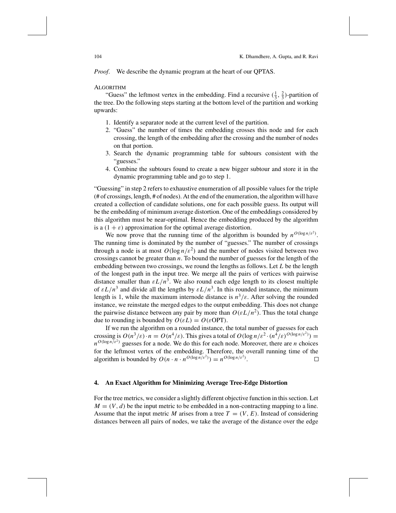*Proof*. We describe the dynamic program at the heart of our QPTAS.

### ALGORITHM

"Guess" the leftmost vertex in the embedding. Find a recursive  $(\frac{1}{3}, \frac{2}{3})$ -partition of the tree. Do the following steps starting at the bottom level of the partition and working upwards:

- 1. Identify a separator node at the current level of the partition.
- 2. "Guess" the number of times the embedding crosses this node and for each crossing, the length of the embedding after the crossing and the number of nodes on that portion.
- 3. Search the dynamic programming table for subtours consistent with the "guesses."
- 4. Combine the subtours found to create a new bigger subtour and store it in the dynamic programming table and go to step 1.

"Guessing" in step 2 refers to exhaustive enumeration of all possible values for the triple (# of crossings, length, # of nodes). At the end of the enumeration, the algorithm will have created a collection of candidate solutions, one for each possible guess. Its output will be the embedding of minimum average distortion. One of the embeddings considered by this algorithm must be near-optimal. Hence the embedding produced by the algorithm is a  $(1 + \varepsilon)$  approximation for the optimal average distortion.

We now prove that the running time of the algorithm is bounded by  $n^{O(\log n/\varepsilon^2)}$ . The running time is dominated by the number of "guesses." The number of crossings through a node is at most  $O(\log n/\varepsilon^2)$  and the number of nodes visited between two crossings cannot be greater than *n*. To bound the number of guesses for the length of the embedding between two crossings, we round the lengths as follows. Let *L* be the length of the longest path in the input tree. We merge all the pairs of vertices with pairwise distance smaller than  $\epsilon L/n^3$ . We also round each edge length to its closest multiple of  $\epsilon L/n^3$  and divide all the lengths by  $\epsilon L/n^3$ . In this rounded instance, the minimum length is 1, while the maximum internode distance is  $n^3/\varepsilon$ . After solving the rounded instance, we reinstate the merged edges to the output embedding. This does not change the pairwise distance between any pair by more than  $O(\varepsilon L/n^2)$ . Thus the total change due to rounding is bounded by  $O(\varepsilon L) = O(\varepsilon \text{OPT})$ .

If we run the algorithm on a rounded instance, the total number of guesses for each crossing is  $O(n^3/\varepsilon) \cdot n = O(n^4/\varepsilon)$ . This gives a total of  $O(\log n/\varepsilon^2 \cdot (n^4/\varepsilon)^{O(\log n/\varepsilon^2)})$  $n^{O(\log n/\varepsilon^2)}$  guesses for a node. We do this for each node. Moreover, there are *n* choices for the leftmost vertex of the embedding. Therefore, the overall running time of the algorithm is bounded by  $O(n \cdot n \cdot n^{O(\log n/\varepsilon^2)}) = n^{O(\log n/\varepsilon^2)}$ .  $\Box$ 

## **4. An Exact Algorithm for Minimizing Average Tree-Edge Distortion**

For the tree metrics, we consider a slightly different objective function in this section. Let  $M = (V, d)$  be the input metric to be embedded in a non-contracting mapping to a line. Assume that the input metric *M* arises from a tree  $T = (V, E)$ . Instead of considering distances between all pairs of nodes, we take the average of the distance over the edge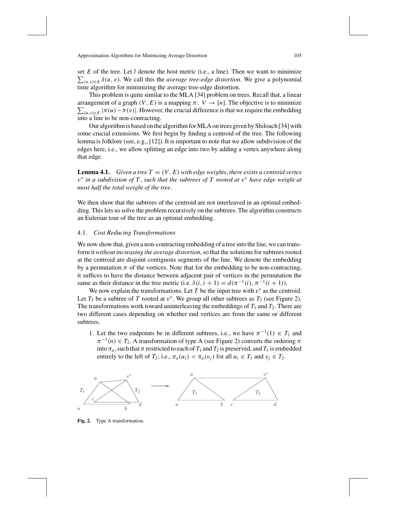set *E* of the tree. Let *l* denote the host metric (i.e., a line). Then we want to minimize  $\sum_{(u,v)\in E} \delta(u,v)$ . We call this the *average tree-edge distortion*. We give a polynomial time algorithm for minimizing the average tree-edge distortion.

This problem is quite similar to the MLA [34] problem on trees. Recall that, a linear arrangement of a graph  $(V, E)$  is a mapping  $\pi: V \to [n]$ . The objective is to minimize  $\sum_{\{u,v\}\in E} |\pi(u)-\pi(v)|$ . However, the crucial difference is that we require the embedding into a line to be non-contracting.

Our algorithm is based on the algorithm for MLA on trees given by Shiloach [34] with some crucial extensions. We first begin by finding a centroid of the tree. The following lemma is folklore (see, e.g., [12]). It is important to note that we allow subdivision of the edges here, i.e., we allow splitting an edge into two by adding a vertex anywhere along that edge.

**Lemma 4.1.** *Given a tree T* =  $(V, E)$  *with edge weights, there exists a centroid vertex* v<sup>∗</sup> *in a subdivision of T* , *such that the subtrees of T rooted at* v<sup>∗</sup> *have edge weight at most half the total weight of the tree*.

We then show that the subtrees of the centroid are not interleaved in an optimal embedding. This lets us solve the problem recursively on the subtrees. The algorithm constructs an Eulerian tour of the tree as an optimal embedding.

# 4.1. *Cost Reducing Transformations*

We now show that, given a non-contracting embedding of a tree into the line, we can transform it *without increasing the average distortion*, so that the solutions for subtrees rooted at the centroid are disjoint contiguous segments of the line. We denote the embedding by a permutation  $\pi$  of the vertices. Note that for the embedding to be non-contracting, it suffices to have the distance between adjacent pair of vertices in the permutation the same as their distance in the tree metric (i.e.  $\delta(i, i + 1) = d(\pi^{-1}(i), \pi^{-1}(i + 1)).$ 

We now explain the transformations. Let  $T$  be the input tree with  $v^*$  as the centroid. Let  $T_1$  be a subtree of  $T$  rooted at  $v^*$ . We group all other subtrees as  $T_2$  (see Figure 2). The transformations work toward uninterleaving the embeddings of  $T_1$  and  $T_2$ . There are two different cases depending on whether end vertices are from the same or different subtrees.

1. Let the two endpoints be in different subtrees, i.e., we have  $\pi^{-1}(1) \in T_1$  and  $\pi^{-1}(n) \in T_2$ . A transformation of type A (see Figure 2) converts the ordering  $\pi$ into  $\pi_a$ , such that  $\pi$  restricted to each of  $T_1$  and  $T_2$  is preserved, and  $T_1$  is embedded entirely to the left of  $T_2$ ; i.e.,  $\pi_a(u_i) < \pi_a(v_i)$  for all  $u_i \in T_1$  and  $v_i \in T_2$ .



**Fig. 2.** Type A transformation.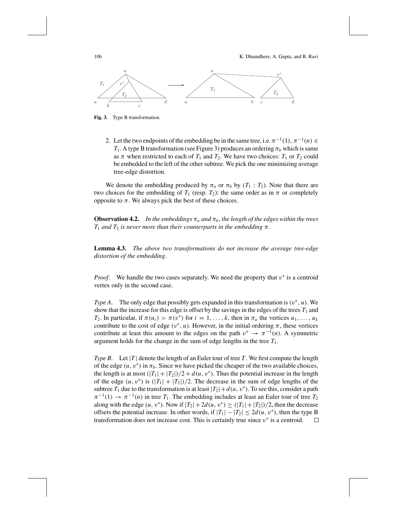106 K. Dhamdhere, A. Gupta, and R. Ravi



**Fig. 3.** Type B transformation.

2. Let the two endpoints of the embedding be in the same tree, i.e.  $\pi^{-1}(1)$ ,  $\pi^{-1}(n) \in$ *T*<sub>1</sub>. A type B transformation (see Figure 3) produces an ordering  $\pi_b$  which is same as  $\pi$  when restricted to each of  $T_1$  and  $T_2$ . We have two choices:  $T_1$  or  $T_2$  could be embedded to the left of the other subtree. We pick the one minimizing average tree-edge distortion.

We denote the embedding produced by  $\pi_a$  or  $\pi_b$  by ( $T_1 : T_2$ ). Note that there are two choices for the embedding of  $T_1$  (resp.  $T_2$ ): the same order as in  $\pi$  or completely opposite to  $\pi$ . We always pick the best of these choices.

**Observation 4.2.** In the embeddings  $\pi_a$  and  $\pi_b$ , the length of the edges within the trees  $T_1$  *and*  $T_2$  *is never more than their counterparts in the embedding*  $\pi$ .

**Lemma 4.3.** *The above two transformations do not increase the average tree-edge distortion of the embedding*.

*Proof.* We handle the two cases separately. We need the property that v<sup>\*</sup> is a centroid vertex only in the second case.

*Type A*. The only edge that possibly gets expanded in this transformation is  $(v^*, u)$ . We show that the increase for this edge is offset by the savings in the edges of the trees  $T_1$  and *T*<sub>2</sub>. In particular, if  $\pi(u_i) > \pi(v^*)$  for  $i = 1, ..., k$ , then in  $\pi_a$  the vertices  $u_1, ..., u_k$ contribute to the cost of edge  $(v^*, u)$ . However, in the initial ordering  $\pi$ , these vertices contribute at least this amount to the edges on the path  $v^* \to \pi^{-1}(n)$ . A symmetric argument holds for the change in the sum of edge lengths in the tree  $T_1$ .

*Type B.* Let |*T* | denote the length of an Euler tour of tree *T*. We first compute the length of the edge  $(u, v^*)$  in  $\pi_b$ . Since we have picked the cheaper of the two available choices, the length is at most  $(|T_1|+|T_2|)/2 + d(u, v^*)$ . Thus the potential increase in the length of the edge  $(u, v^*)$  is  $(|T_1| + |T_2|)/2$ . The decrease in the sum of edge lengths of the subtree  $T_1$  due to the transformation is at least  $|T_2|+d(u, v^*)$ . To see this, consider a path  $\pi^{-1}(1) \to \pi^{-1}(n)$  in tree  $T_1$ . The embedding includes at least an Euler tour of tree  $T_2$ along with the edge  $(u, v^*)$ . Now if  $|T_2| + 2d(u, v^*) \geq (|T_1| + |T_2|)/2$ , then the decrease offsets the potential increase. In other words, if  $|T_1| - |T_2| \le 2d(u, v^*)$ , then the type B transformation does not increase cost. This is certainly true since  $v^*$  is a centroid. 口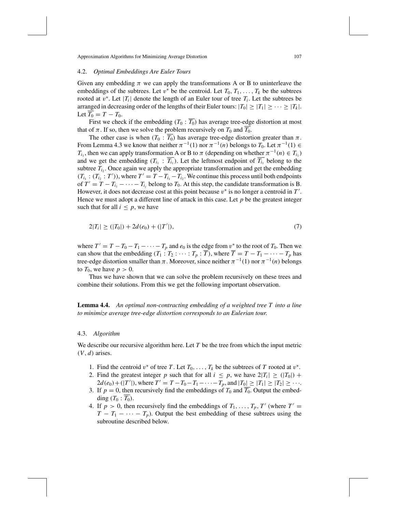## 4.2. *Optimal Embeddings Are Euler Tours*

Given any embedding  $\pi$  we can apply the transformations A or B to uninterleave the embeddings of the subtrees. Let  $v^*$  be the centroid. Let  $T_0, T_1, \ldots, T_k$  be the subtrees rooted at  $v^*$ . Let  $|T_i|$  denote the length of an Euler tour of tree  $T_i$ . Let the subtrees be arranged in decreasing order of the lengths of their Euler tours:  $|T_0| \geq |T_1| \geq \cdots \geq |T_k|$ . Let  $T_0 = T - T_0$ .

First we check if the embedding  $(T_0 : \overline{T_0})$  has average tree-edge distortion at most that of  $\pi$ . If so, then we solve the problem recursively on  $T_0$  and  $T_0$ .

The other case is when  $(T_0 : \overline{T_0})$  has average tree-edge distortion greater than  $\pi$ . From Lemma 4.3 we know that neither  $\pi^{-1}(1)$  nor  $\pi^{-1}(n)$  belongs to  $T_0$ . Let  $\pi^{-1}(1) \in$ *T<sub>i*1</sub></sub>, then we can apply transformation A or B to  $\pi$  (depending on whether  $\pi^{-1}(n) \in T_{i_1}$ ) and we get the embedding  $(T_{i_1} : T_{i_1})$ . Let the leftmost endpoint of  $\overline{T_{i_1}}$  belong to the subtree  $T_{i_2}$ . Once again we apply the appropriate transformation and get the embedding  $(T_{i_1} : (T_{i_2} : T'))$ , where  $T' = T - T_{i_1} - T_{i_2}$ . We continue this process until both endpoints of  $T' = T - T_{i_1} - \cdots - T_{i_i}$  belong to  $T_0$ . At this step, the candidate transformation is B. However, it does not decrease cost at this point because  $v^*$  is no longer a centroid in  $T'$ . Hence we must adopt a different line of attack in this case. Let *p* be the greatest integer such that for all  $i \leq p$ , we have

$$
2|T_i| \ge (|T_0|) + 2d(e_0) + (|T'|),\tag{7}
$$

where  $T' = T - T_0 - T_1 - \cdots - T_p$  and  $e_0$  is the edge from  $v^*$  to the root of  $T_0$ . Then we can show that the embedding  $(T_1 : T_2 : \cdots : T_p : \overline{T})$ , where  $\overline{T} = T - T_1 - \cdots - T_p$  has tree-edge distortion smaller than  $\pi$ . Moreover, since neither  $\pi^{-1}(1)$  nor  $\pi^{-1}(n)$  belongs to  $T_0$ , we have  $p > 0$ .

Thus we have shown that we can solve the problem recursively on these trees and combine their solutions. From this we get the following important observation.

**Lemma 4.4.** *An optimal non-contracting embedding of a weighted tree T into a line to minimize average tree-edge distortion corresponds to an Eulerian tour*.

### 4.3. *Algorithm*

We describe our recursive algorithm here. Let *T* be the tree from which the input metric  $(V, d)$  arises.

- 1. Find the centroid  $v^*$  of tree *T*. Let  $T_0, \ldots, T_k$  be the subtrees of *T* rooted at  $v^*$ .
- 2. Find the greatest integer *p* such that for all  $i \leq p$ , we have  $2|T_i| \geq (|T_0|) +$  $2d(e_0) + (|T'|)$ , where  $T' = T - T_0 - T_1 - \cdots - T_p$ , and  $|T_0| \ge |T_1| \ge |T_2| \ge \cdots$ .
- 3. If  $p = 0$ , then recursively find the embeddings of  $T_0$  and  $\overline{T_0}$ . Output the embedding  $(T_0 : \overline{T_0})$ .
- 4. If  $p > 0$ , then recursively find the embeddings of  $T_1, \ldots, T_p, T'$  (where  $T' =$  $T - T_1 - \cdots - T_p$ ). Output the best embedding of these subtrees using the subroutine described below.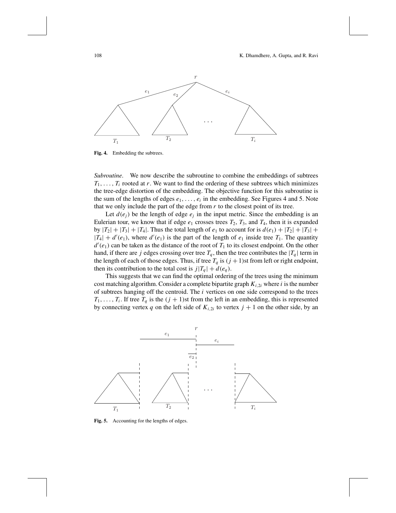

**Fig. 4.** Embedding the subtrees.

*Subroutine.* We now describe the subroutine to combine the embeddings of subtrees  $T_1, \ldots, T_i$  rooted at *r*. We want to find the ordering of these subtrees which minimizes the tree-edge distortion of the embedding. The objective function for this subroutine is the sum of the lengths of edges  $e_1, \ldots, e_i$  in the embedding. See Figures 4 and 5. Note that we only include the part of the edge from  $r$  to the closest point of its tree.

Let  $d(e_i)$  be the length of edge  $e_i$  in the input metric. Since the embedding is an Eulerian tour, we know that if edge  $e_1$  crosses trees  $T_2$ ,  $T_3$ , and  $T_4$ , then it is expanded by  $|T_2| + |T_3| + |T_4|$ . Thus the total length of  $e_1$  to account for is  $d(e_1) + |T_2| + |T_3| +$  $|T_4| + d'(e_1)$ , where  $d'(e_1)$  is the part of the length of  $e_1$  inside tree  $T_1$ . The quantity  $d'(e_1)$  can be taken as the distance of the root of  $T_1$  to its closest endpoint. On the other hand, if there are *j* edges crossing over tree  $T_q$ , then the tree contributes the  $|T_q|$  term in the length of each of those edges. Thus, if tree  $T_q$  is  $(j + 1)$ st from left or right endpoint, then its contribution to the total cost is  $j|T_q| + d(e_q)$ .

This suggests that we can find the optimal ordering of the trees using the minimum cost matching algorithm. Consider a complete bipartite graph  $K_{i,2i}$  where *i* is the number of subtrees hanging off the centroid. The *i* vertices on one side correspond to the trees  $T_1, \ldots, T_i$ . If tree  $T_q$  is the  $(j + 1)$ st from the left in an embedding, this is represented by connecting vertex *q* on the left side of  $K_{i,2i}$  to vertex  $j + 1$  on the other side, by an



**Fig. 5.** Accounting for the lengths of edges.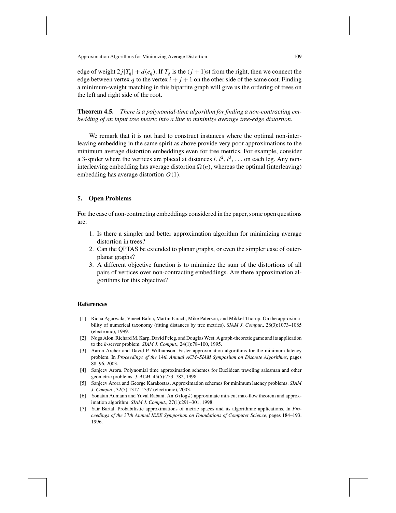edge of weight  $2j|T_q| + d(e_q)$ . If  $T_q$  is the  $(j + 1)$ st from the right, then we connect the edge between vertex  $q$  to the vertex  $i + j + 1$  on the other side of the same cost. Finding a minimum-weight matching in this bipartite graph will give us the ordering of trees on the left and right side of the root.

**Theorem 4.5.** *There is a polynomial-time algorithm for finding a non-contracting embedding of an input tree metric into a line to minimize average tree-edge distortion*.

We remark that it is not hard to construct instances where the optimal non-interleaving embedding in the same spirit as above provide very poor approximations to the minimum average distortion embeddings even for tree metrics. For example, consider a 3-spider where the vertices are placed at distances  $l, l^2, l^3, \ldots$  on each leg. Any noninterleaving embedding has average distortion  $\Omega(n)$ , whereas the optimal (interleaving) embedding has average distortion *O*(1).

# **5. Open Problems**

For the case of non-contracting embeddings considered in the paper, some open questions are:

- 1. Is there a simpler and better approximation algorithm for minimizing average distortion in trees?
- 2. Can the QPTAS be extended to planar graphs, or even the simpler case of outerplanar graphs?
- 3. A different objective function is to minimize the sum of the distortions of all pairs of vertices over non-contracting embeddings. Are there approximation algorithms for this objective?

#### **References**

- [1] Richa Agarwala, Vineet Bafna, Martin Farach, Mike Paterson, and Mikkel Thorup. On the approximability of numerical taxonomy (fitting distances by tree metrics). *SIAM J*. *Comput*., 28(3):1073–1085 (electronic), 1999.
- [2] Noga Alon, Richard M. Karp, David Peleg, and Douglas West. A graph-theoretic game and its application to the *k*-server problem. *SIAM J*. *Comput*., 24(1):78–100, 1995.
- [3] Aaron Archer and David P. Williamson. Faster approximation algorithms for the minimum latency problem. In *Proceedings of the* 14*th Annual ACM–SIAM Symposium on Discrete Algorithms*, pages 88–96, 2003.
- [4] Sanjeev Arora. Polynomial time approximation schemes for Euclidean traveling salesman and other geometric problems. *J*. *ACM*, 45(5):753–782, 1998.
- [5] Sanjeev Arora and George Karakostas. Approximation schemes for minimum latency problems. *SIAM J*. *Comput*., 32(5):1317–1337 (electronic), 2003.
- [6] Yonatan Aumann and Yuval Rabani. An *O*(log *k*) approximate min-cut max-flow theorem and approximation algorithm. *SIAM J*. *Comput*., 27(1):291–301, 1998.
- [7] Yair Bartal. Probabilistic approximations of metric spaces and its algorithmic applications. In *Proceedings of the* 37*th Annual IEEE Symposium on Foundations of Computer Science*, pages 184–193, 1996.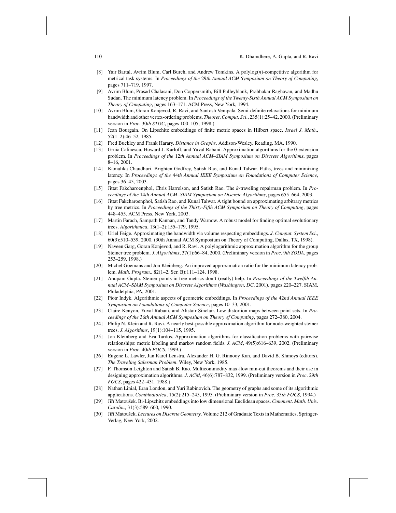### 110 K. Dhamdhere, A. Gupta, and R. Ravi

- [8] Yair Bartal, Avrim Blum, Carl Burch, and Andrew Tomkins. A polylog(*n*)-competitive algorithm for metrical task systems. In *Proceedings of the* 29*th Annual ACM Symposium on Theory of Computing*, pages 711–719, 1997.
- [9] Avrim Blum, Prasad Chalasani, Don Coppersmith, Bill Pulleyblank, Prabhakar Raghavan, and Madhu Sudan. The minimum latency problem. In *Proceedings of the Twenty-Sixth Annual ACM Symposium on Theory of Computing*, pages 163–171. ACM Press, New York, 1994.
- [10] Avrim Blum, Goran Konjevod, R. Ravi, and Santosh Vempala. Semi-definite relaxations for minimum bandwidth and other vertex-ordering problems. *Theoret*.*Comput*. *Sci*., 235(1):25–42, 2000. (Preliminary version in *Proc*. 30*th STOC*, pages 100–105, 1998.)
- [11] Jean Bourgain. On Lipschitz embeddings of finite metric spaces in Hilbert space. *Israel J*. *Math*., 52(1–2):46–52, 1985.
- [12] Fred Buckley and Frank Harary. *Distance in Graphs*. Addison-Wesley, Reading, MA, 1990.
- [13] Gruia Calinescu, Howard J. Karloff, and Yuval Rabani. Approximation algorithms for the 0-extension problem. In *Proceedings of the* 12*th Annual ACM–SIAM Symposium on Discrete Algorithms*, pages 8–16, 2001.
- [14] Kamalika Chaudhuri, Brighten Godfrey, Satish Rao, and Kunal Talwar. Paths, trees and minimizing latency. In *Proceedings of the* 44*th Annual IEEE Symposium on Foundations of Computer Science*, pages 36–45, 2003.
- [15] Jittat Fakcharoenphol, Chris Harrelson, and Satish Rao. The *k*-traveling repairman problem. In *Proceedings of the* 14*th Annual ACM–SIAM Symposium on Discrete Algorithms*, pages 655–664, 2003.
- [16] Jittat Fakcharoenphol, Satish Rao, and Kunal Talwar. A tight bound on approximating arbitrary metrics by tree metrics. In *Proceedings of the Thirty-Fifth ACM Symposium on Theory of Computing*, pages 448–455. ACM Press, New York, 2003.
- [17] Martin Farach, Sampath Kannan, and Tandy Warnow. A robust model for finding optimal evolutionary trees. *Algorithmica*, 13(1–2):155–179, 1995.
- [18] Uriel Feige. Approximating the bandwidth via volume respecting embeddings. *J*. *Comput*. *System Sci*., 60(3):510–539, 2000. (30th Annual ACM Symposium on Theory of Computing, Dallas, TX, 1998).
- [19] Naveen Garg, Goran Konjevod, and R. Ravi. A polylogarithmic approximation algorithm for the group Steiner tree problem. *J*. *Algorithms*, 37(1):66–84, 2000. (Preliminary version in *Proc*. 9*th SODA*, pages 253–259, 1998.)
- [20] Michel Goemans and Jon Kleinberg. An improved approximation ratio for the minimum latency problem. *Math*. *Program*., 82(1–2, Ser. B):111–124, 1998.
- [21] Anupam Gupta. Steiner points in tree metrics don't (really) help. In *Proceedings of the Twelfth Annual ACM–SIAM Symposium on Discrete Algorithms* (*Washington*, *DC*, 2001), pages 220–227. SIAM, Philadelphia, PA, 2001.
- [22] Piotr Indyk. Algorithmic aspects of geometric embeddings. In *Proceedings of the* 42*nd Annual IEEE Symposium on Foundations of Computer Science*, pages 10–33, 2001.
- [23] Claire Kenyon, Yuval Rabani, and Alistair Sinclair. Low distortion maps between point sets. In *Proceedings of the* 36*th Annual ACM Symposium on Theory of Computing*, pages 272–380, 2004.
- [24] Philip N. Klein and R. Ravi. A nearly best-possible approximation algorithm for node-weighted steiner trees. *J*. *Algorithms*, 19(1):104–115, 1995.
- [25] Jon Kleinberg and Eva Tardos. Approximation algorithms for classification problems with pairwise ´ relationships: metric labeling and markov random fields. *J*. *ACM*, 49(5):616–639, 2002. (Preliminary version in *Proc*. 40*th FOCS*, 1999.)
- [26] Eugene L. Lawler, Jan Karel Lenstra, Alexander H. G. Rinnooy Kan, and David B. Shmoys (editors). *The Traveling Salesman Problem*. Wiley, New York, 1985.
- [27] F. Thomson Leighton and Satish B. Rao. Multicommodity max-flow min-cut theorems and their use in designing approximation algorithms. *J*. *ACM*, 46(6):787–832, 1999. (Preliminary version in *Proc*. 29*th FOCS*, pages 422–431, 1988.)
- [28] Nathan Linial, Eran London, and Yuri Rabinovich. The geometry of graphs and some of its algorithmic applications. *Combinatorica*, 15(2):215–245, 1995. (Preliminary version in *Proc*. 35*th FOCS*, 1994.)
- [29] Jiˇr´ı Matouˇsek. Bi-Lipschitz embeddings into low dimensional Euclidean spaces. *Comment*. *Math*. *Univ*. *Carolin*., 31(3):589–600, 1990.
- [30] Jiří Matoušek. *Lectures on Discrete Geometry*. Volume 212 of Graduate Texts in Mathematics. Springer-Verlag, New York, 2002.